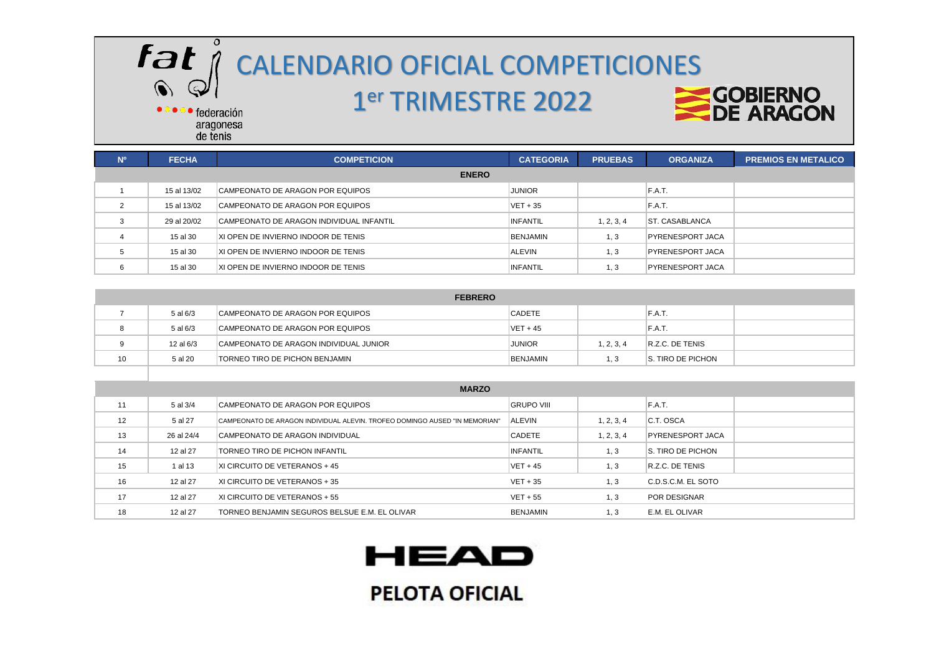

# $F$  $\partial$   $\check{I}$   $\theta$   $C$ ALENDARIO OFICIAL COMPETICIONES

### er TRIMESTRE 2022



· federación aragonesa de tenis

| N <sup>o</sup> | <b>FECHA</b> | <b>COMPETICION</b>                       | <b>CATEGORIA</b> | <b>PRUEBAS</b> | <b>ORGANIZA</b>         | <b>PREMIOS EN METALICO</b> |
|----------------|--------------|------------------------------------------|------------------|----------------|-------------------------|----------------------------|
|                |              | <b>ENERO</b>                             |                  |                |                         |                            |
|                | 15 al 13/02  | CAMPEONATO DE ARAGON POR EQUIPOS         | <b>JUNIOR</b>    |                | F.A.T.                  |                            |
| $\overline{2}$ | 15 al 13/02  | CAMPEONATO DE ARAGON POR EQUIPOS         | $VET + 35$       |                | F.A.T.                  |                            |
| 3              | 29 al 20/02  | CAMPEONATO DE ARAGON INDIVIDUAL INFANTIL | <b>INFANTIL</b>  | 1, 2, 3, 4     | IST. CASABLANCA         |                            |
| 4              | 15 al 30     | XI OPEN DE INVIERNO INDOOR DE TENIS      | BENJAMIN         | 1.3            | <b>PYRENESPORT JACA</b> |                            |
| 5              | 15 al 30     | IXI OPEN DE INVIERNO INDOOR DE TENIS     | <b>ALEVIN</b>    | 1.3            | <b>PYRENESPORT JACA</b> |                            |
| 6              | 15 al 30     | IXI OPEN DE INVIERNO INDOOR DE TENIS     | <b>INFANTIL</b>  | 1.3            | <b>PYRENESPORT JACA</b> |                            |

| <b>FEBRERO</b> |           |                                        |                 |            |                   |  |  |
|----------------|-----------|----------------------------------------|-----------------|------------|-------------------|--|--|
|                | 5 al 6/3  | CAMPEONATO DE ARAGON POR EQUIPOS       | <b>CADETE</b>   |            | F.A.T.            |  |  |
|                | 5 al 6/3  | CAMPEONATO DE ARAGON POR EQUIPOS       | $VET + 45$      |            | F.A.T.            |  |  |
|                | 12 al 6/3 | CAMPEONATO DE ARAGON INDIVIDUAL JUNIOR | <b>JUNIOR</b>   | 1, 2, 3, 4 | R.Z.C. DE TENIS   |  |  |
| 10             | 5 al 20   | <b>TORNEO TIRO DE PICHON BENJAMIN</b>  | <b>BENJAMIN</b> | . 3        | S. TIRO DE PICHON |  |  |

|    | <b>MARZO</b> |                                                                            |                   |            |                         |  |  |  |
|----|--------------|----------------------------------------------------------------------------|-------------------|------------|-------------------------|--|--|--|
| 11 | 5 al 3/4     | CAMPEONATO DE ARAGON POR EQUIPOS                                           | <b>GRUPO VIII</b> |            | F.A.T.                  |  |  |  |
| 12 | 5 al 27      | CAMPEONATO DE ARAGON INDIVIDUAL ALEVIN. TROFEO DOMINGO AUSED "IN MEMORIAN" | <b>ALEVIN</b>     | 1, 2, 3, 4 | C.T. OSCA               |  |  |  |
| 13 | 26 al 24/4   | CAMPEONATO DE ARAGON INDIVIDUAL                                            | <b>CADETE</b>     | 1, 2, 3, 4 | <b>PYRENESPORT JACA</b> |  |  |  |
| 14 | 12 al 27     | TORNEO TIRO DE PICHON INFANTIL                                             | <b>INFANTIL</b>   | 1, 3       | S. TIRO DE PICHON       |  |  |  |
| 15 | 1 al 13      | XI CIRCUITO DE VETERANOS + 45                                              | $VET + 45$        | 1, 3       | R.Z.C. DE TENIS         |  |  |  |
| 16 | 12 al 27     | XI CIRCUITO DE VETERANOS + 35                                              | $VET + 35$        | 1.3        | C.D.S.C.M. EL SOTO      |  |  |  |
| 17 | 12 al 27     | XI CIRCUITO DE VETERANOS + 55                                              | $VET + 55$        | 1.3        | POR DESIGNAR            |  |  |  |
| 18 | 12 al 27     | TORNEO BENJAMIN SEGUROS BELSUE E.M. EL OLIVAR                              | <b>BENJAMIN</b>   | 1.3        | E.M. EL OLIVAR          |  |  |  |

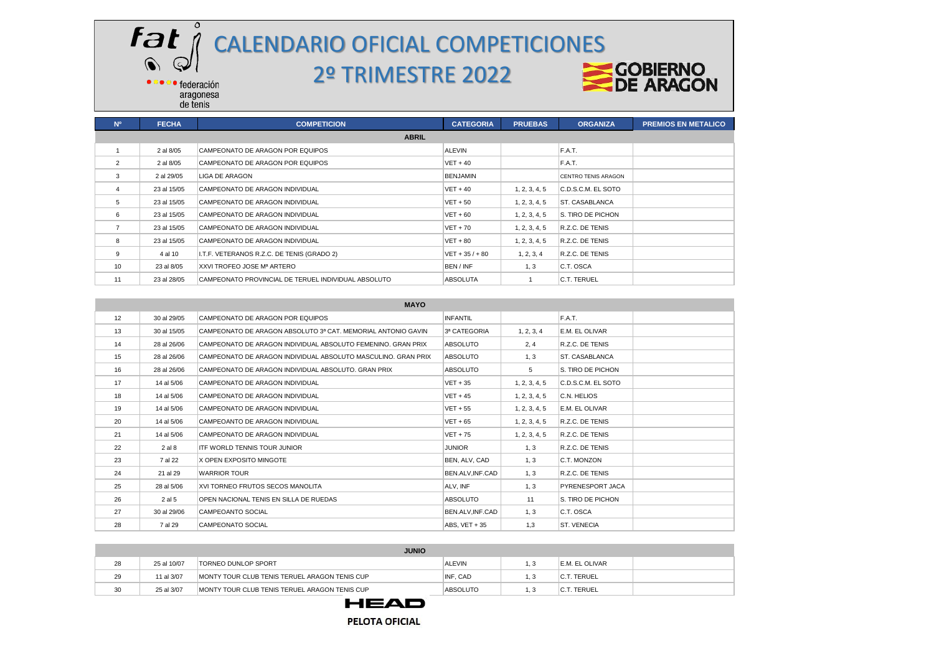#### **Fat**<br> **CALENDARIO OFICIAL COMPETICIONES**<br>
2º TRIMESTRE 2022<br>
COBIERNO  $Q$ 2º TRIMESTRE 2022· federación

aragonesa<br>de tenis

 $\bigcirc$ 

 $\bullet$ 

| N <sup>o</sup> | <b>FECHA</b> | <b>COMPETICION</b>                                  | <b>CATEGORIA</b>  | <b>PRUEBAS</b> | <b>ORGANIZA</b>            | <b>PREMIOS EN METALICO</b> |
|----------------|--------------|-----------------------------------------------------|-------------------|----------------|----------------------------|----------------------------|
|                |              | <b>ABRIL</b>                                        |                   |                |                            |                            |
|                | 2 al 8/05    | CAMPEONATO DE ARAGON POR EQUIPOS                    | <b>ALEVIN</b>     |                | F.A.T.                     |                            |
| 2              | 2 al 8/05    | CAMPEONATO DE ARAGON POR EQUIPOS                    | $VET + 40$        |                | F.A.T.                     |                            |
| 3              | 2 al 29/05   | <b>LIGA DE ARAGON</b>                               | <b>BENJAMIN</b>   |                | <b>CENTRO TENIS ARAGON</b> |                            |
| $\overline{4}$ | 23 al 15/05  | CAMPEONATO DE ARAGON INDIVIDUAL                     | $VET + 40$        | 1, 2, 3, 4, 5  | C.D.S.C.M. EL SOTO         |                            |
| 5              | 23 al 15/05  | CAMPEONATO DE ARAGON INDIVIDUAL                     | $VET + 50$        | 1, 2, 3, 4, 5  | <b>ST. CASABLANCA</b>      |                            |
| 6              | 23 al 15/05  | CAMPEONATO DE ARAGON INDIVIDUAL                     | $VET + 60$        | 1, 2, 3, 4, 5  | S. TIRO DE PICHON          |                            |
| $\overline{7}$ | 23 al 15/05  | CAMPEONATO DE ARAGON INDIVIDUAL                     | $VET + 70$        | 1, 2, 3, 4, 5  | R.Z.C. DE TENIS            |                            |
| 8              | 23 al 15/05  | CAMPEONATO DE ARAGON INDIVIDUAL                     | $VET + 80$        | 1, 2, 3, 4, 5  | R.Z.C. DE TENIS            |                            |
| 9              | 4 al 10      | I.T.F. VETERANOS R.Z.C. DE TENIS (GRADO 2)          | $VET + 35 / + 80$ | 1, 2, 3, 4     | R.Z.C. DE TENIS            |                            |
| 10             | 23 al 8/05   | XXVI TROFEO JOSE Mª ARTERO                          | BEN / INF         | 1.3            | C.T. OSCA                  |                            |
| 11             | 23 al 28/05  | CAMPEONATO PROVINCIAL DE TERUEL INDIVIDUAL ABSOLUTO | <b>ABSOLUTA</b>   |                | C.T. TERUEL                |                            |

|    |             | <b>MAYO</b>                                                   |                 |               |                    |  |
|----|-------------|---------------------------------------------------------------|-----------------|---------------|--------------------|--|
| 12 | 30 al 29/05 | CAMPEONATO DE ARAGON POR EQUIPOS                              | <b>INFANTIL</b> |               | F.A.T.             |  |
| 13 | 30 al 15/05 | CAMPEONATO DE ARAGON ABSOLUTO 3ª CAT. MEMORIAL ANTONIO GAVIN  | 3ª CATEGORIA    | 1, 2, 3, 4    | E.M. EL OLIVAR     |  |
| 14 | 28 al 26/06 | CAMPEONATO DE ARAGON INDIVIDUAL ABSOLUTO FEMENINO. GRAN PRIX  | <b>ABSOLUTO</b> | 2, 4          | R.Z.C. DE TENIS    |  |
| 15 | 28 al 26/06 | CAMPEONATO DE ARAGON INDIVIDUAL ABSOLUTO MASCULINO. GRAN PRIX | <b>ABSOLUTO</b> | 1.3           | ST. CASABLANCA     |  |
| 16 | 28 al 26/06 | CAMPEONATO DE ARAGON INDIVIDUAL ABSOLUTO. GRAN PRIX           | <b>ABSOLUTO</b> | 5             | S. TIRO DE PICHON  |  |
| 17 | 14 al 5/06  | CAMPEONATO DE ARAGON INDIVIDUAL                               | $VET + 35$      | 1, 2, 3, 4, 5 | C.D.S.C.M. EL SOTO |  |
| 18 | 14 al 5/06  | CAMPEONATO DE ARAGON INDIVIDUAL                               | $VET + 45$      | 1, 2, 3, 4, 5 | C.N. HELIOS        |  |
| 19 | 14 al 5/06  | CAMPEONATO DE ARAGON INDIVIDUAL                               | $VET + 55$      | 1, 2, 3, 4, 5 | E.M. EL OLIVAR     |  |
| 20 | 14 al 5/06  | CAMPEOANTO DE ARAGON INDIVIDUAL                               | $VET + 65$      | 1, 2, 3, 4, 5 | R.Z.C. DE TENIS    |  |
| 21 | 14 al 5/06  | CAMPEONATO DE ARAGON INDIVIDUAL                               | $VET + 75$      | 1, 2, 3, 4, 5 | R.Z.C. DE TENIS    |  |
| 22 | 2 al 8      | <b>ITF WORLD TENNIS TOUR JUNIOR</b>                           | <b>JUNIOR</b>   | 1.3           | R.Z.C. DE TENIS    |  |
| 23 | 7 al 22     | X OPEN EXPOSITO MINGOTE                                       | BEN. ALV. CAD   | 1.3           | C.T. MONZON        |  |
| 24 | 21 al 29    | <b>WARRIOR TOUR</b>                                           | BEN.ALV.INF.CAD | 1.3           | R.Z.C. DE TENIS    |  |
| 25 | 28 al 5/06  | XVI TORNEO FRUTOS SECOS MANOLITA                              | ALV, INF        | 1, 3          | PYRENESPORT JACA   |  |
| 26 | 2 al 5      | OPEN NACIONAL TENIS EN SILLA DE RUEDAS                        | <b>ABSOLUTO</b> | 11            | S. TIRO DE PICHON  |  |
| 27 | 30 al 29/06 | <b>CAMPEOANTO SOCIAL</b>                                      | BEN.ALV.INF.CAD | 1, 3          | C.T. OSCA          |  |
| 28 | 7 al 29     | <b>CAMPEONATO SOCIAL</b>                                      | ABS, VET + 35   | 1,3           | <b>ST. VENECIA</b> |  |

|    | <b>JUNIO</b> |                                                       |                 |  |                    |  |  |
|----|--------------|-------------------------------------------------------|-----------------|--|--------------------|--|--|
| 28 | 25 al 10/07  | <b>TORNEO DUNLOP SPORT</b>                            | ALEVIN          |  | E.M. EL OLIVAR     |  |  |
| 29 | 11 al 3/07   | MONTY TOUR CLUB TENIS TERUEL ARAGON TENIS CUP         | INF, CAD        |  | <b>C.T. TERUEL</b> |  |  |
| 30 | 25 al 3/07   | <b>IMONTY TOUR CLUB TENIS TERUEL ARAGON TENIS CUP</b> | <b>ABSOLUTO</b> |  | C.T. TERUEL        |  |  |

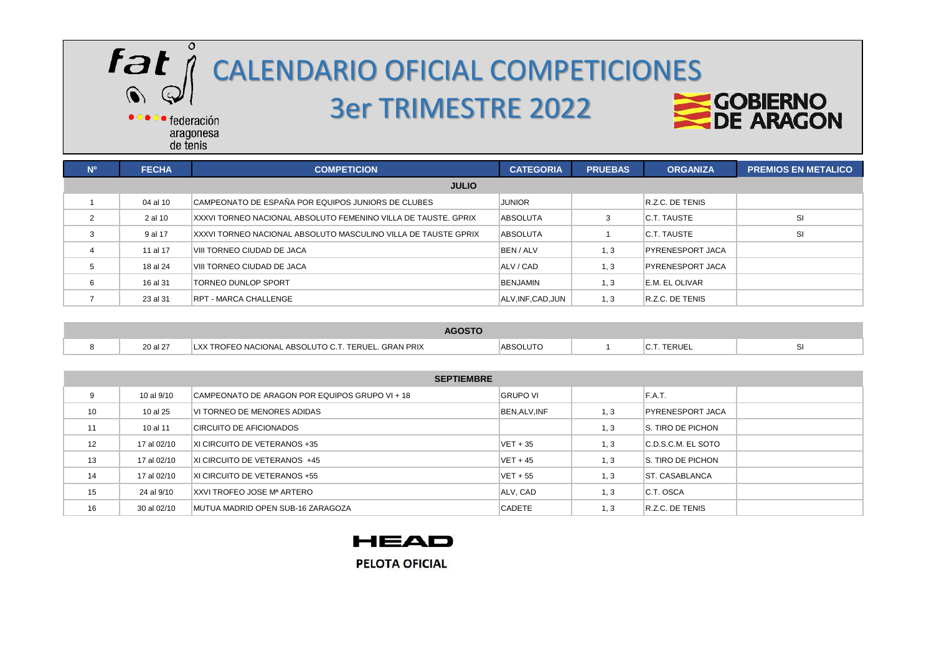

## CALENDARIO OFICIAL COMPETICIONES 3er TRIMESTRE 2022



| N <sup>o</sup> | <b>FECHA</b> | <b>COMPETICION</b>                                             | <b>CATEGORIA</b>   | <b>PRUEBAS</b> | <b>ORGANIZA</b>         | <b>PREMIOS EN METALICO</b> |  |
|----------------|--------------|----------------------------------------------------------------|--------------------|----------------|-------------------------|----------------------------|--|
|                | <b>JULIO</b> |                                                                |                    |                |                         |                            |  |
|                | 04 al 10     | CAMPEONATO DE ESPAÑA POR EQUIPOS JUNIORS DE CLUBES             | <b>JUNIOR</b>      |                | R.Z.C. DE TENIS         |                            |  |
| $\mathbf{2}$   | 2 al 10      | XXXVI TORNEO NACIONAL ABSOLUTO FEMENINO VILLA DE TAUSTE. GPRIX | <b>ABSOLUTA</b>    |                | C.T. TAUSTE             | <b>SI</b>                  |  |
|                | 9 al 17      | XXXVI TORNEO NACIONAL ABSOLUTO MASCULINO VILLA DE TAUSTE GPRIX | <b>ABSOLUTA</b>    |                | C.T. TAUSTE             | SI                         |  |
|                | 11 al 17     | VIII TORNEO CIUDAD DE JACA                                     | BEN / ALV          | 1, 3           | <b>PYRENESPORT JACA</b> |                            |  |
| 5              | 18 al 24     | VIII TORNEO CIUDAD DE JACA                                     | ALV / CAD          | 1, 3           | <b>PYRENESPORT JACA</b> |                            |  |
| 6              | 16 al 31     | TORNEO DUNLOP SPORT                                            | <b>BENJAMIN</b>    | 1, 3           | E.M. EL OLIVAR          |                            |  |
|                | 23 al 31     | RPT - MARCA CHALLENGE                                          | ALV, INF, CAD, JUN | 1, 3           | R.Z.C. DE TENIS         |                            |  |

| $A \cap \cap T$ |          |                                                                                                 |     |  |       |  |
|-----------------|----------|-------------------------------------------------------------------------------------------------|-----|--|-------|--|
|                 | 20 al 27 | <b>GRAN PRIX</b><br><b>ADC</b><br>I X)<br>TERUI<br>`IONI∆<br>$\cdots$ in the $\Gamma$<br>H<br>. | noo |  | ™RUE. |  |

|                   | <b>SEPTIEMBRE</b> |                                                |                 |      |                         |  |  |
|-------------------|-------------------|------------------------------------------------|-----------------|------|-------------------------|--|--|
| 9                 | 10 al 9/10        | CAMPEONATO DE ARAGON POR EQUIPOS GRUPO VI + 18 | <b>GRUPO VI</b> |      | F.A.T.                  |  |  |
| 10                | 10 al 25          | VI TORNEO DE MENORES ADIDAS                    | BEN, ALV, INF   | 1, 3 | <b>PYRENESPORT JACA</b> |  |  |
| 11                | 10 al 11          | CIRCUITO DE AFICIONADOS                        |                 | 1, 3 | S. TIRO DE PICHON       |  |  |
| $12 \overline{ }$ | 17 al 02/10       | XI CIRCUITO DE VETERANOS +35                   | $VET + 35$      | 1, 3 | IC.D.S.C.M. EL SOTO     |  |  |
| 13                | 17 al 02/10       | <b>XI CIRCUITO DE VETERANOS +45</b>            | $VET + 45$      | 1, 3 | S. TIRO DE PICHON       |  |  |
| 14                | 17 al 02/10       | XI CIRCUITO DE VETERANOS +55                   | $VET + 55$      | 1, 3 | <b>ST. CASABLANCA</b>   |  |  |
| 15                | 24 al 9/10        | XXVI TROFEO JOSE Mª ARTERO                     | ALV. CAD        | .3   | C.T. OSCA               |  |  |
| 16                | 30 al 02/10       | <b>IMUTUA MADRID OPEN SUB-16 ZARAGOZA</b>      | <b>CADETE</b>   | 1, 3 | <b>R.Z.C. DE TENIS</b>  |  |  |